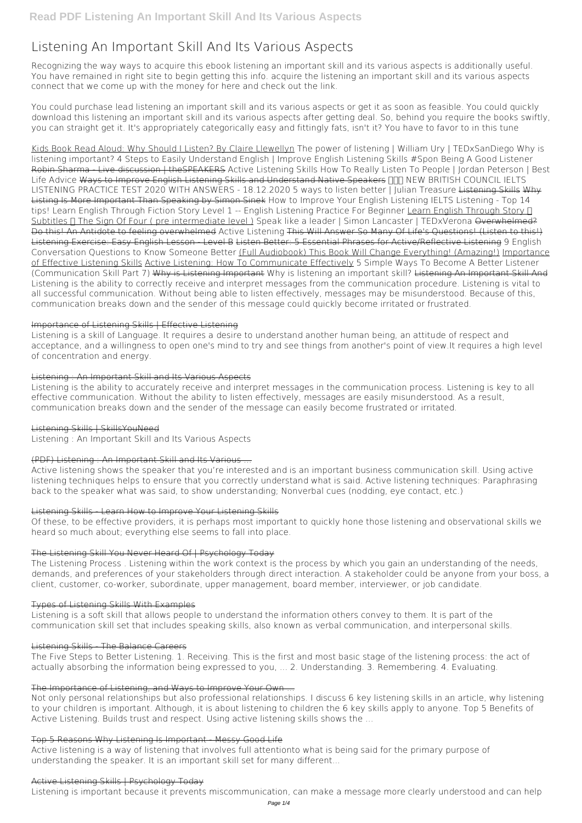# **Listening An Important Skill And Its Various Aspects**

Recognizing the way ways to acquire this ebook **listening an important skill and its various aspects** is additionally useful. You have remained in right site to begin getting this info. acquire the listening an important skill and its various aspects connect that we come up with the money for here and check out the link.

You could purchase lead listening an important skill and its various aspects or get it as soon as feasible. You could quickly download this listening an important skill and its various aspects after getting deal. So, behind you require the books swiftly, you can straight get it. It's appropriately categorically easy and fittingly fats, isn't it? You have to favor to in this tune

Kids Book Read Aloud: Why Should I Listen? By Claire Llewellyn The power of listening | William Ury | TEDxSanDiego Why is listening important? *4 Steps to Easily Understand English | Improve English Listening Skills #Spon* **Being A Good Listener** Robin Sharma - Live discussion | theSPEAKERS Active Listening Skills *How To Really Listen To People | Jordan Peterson | Best* Life Advice Ways to Improve English Listening Skills and Understand Native Speakers **NIN NEW BRITISH COUNCIL IELTS** LISTENING PRACTICE TEST 2020 WITH ANSWERS - 18.12.2020 *5 ways to listen better | Julian Treasure* Listening Skills Why Listing Is More Important Than Speaking by Simon Sinek How to Improve Your English Listening IELTS Listening - Top 14 tips! Learn English Through Fiction Story Level 1 -- English Listening Practice For Beginner Learn English Through Story n Subtitles n The Sign Of Four ( pre intermediate level ) Speak like a leader | Simon Lancaster | TEDxVerona Overwhelmed? Do this! An Antidote to feeling overwhelmed **Active Listening** This Will Answer So Many Of Life's Questions! (Listen to this!) Listening Exercise: Easy English Lesson - Level B Listen Better: 5 Essential Phrases for Active/Reflective Listening 9 English Conversation Questions to Know Someone Better (Full Audiobook) This Book Will Change Everything! (Amazing!) Importance of Effective Listening Skills Active Listening: How To Communicate Effectively *5 Simple Ways To Become A Better Listener (Communication Skill Part 7)* Why is Listening Important *Why is listening an important skill?* Listening An Important Skill And Listening is the ability to correctly receive and interpret messages from the communication procedure. Listening is vital to all successful communication. Without being able to listen effectively, messages may be misunderstood. Because of this, communication breaks down and the sender of this message could quickly become irritated or frustrated.

# Importance of Listening Skills | Effective Listening

Listening is a skill of Language. It requires a desire to understand another human being, an attitude of respect and acceptance, and a willingness to open one's mind to try and see things from another's point of view.It requires a high level of concentration and energy.

# Listening : An Important Skill and Its Various Aspects

Listening is the ability to accurately receive and interpret messages in the communication process. Listening is key to all effective communication. Without the ability to listen effectively, messages are easily misunderstood. As a result, communication breaks down and the sender of the message can easily become frustrated or irritated.

# Listening Skills | SkillsYouNeed

Listening : An Important Skill and Its Various Aspects

# (PDF) Listening : An Important Skill and Its Various ...

Active listening shows the speaker that you're interested and is an important business communication skill. Using active listening techniques helps to ensure that you correctly understand what is said. Active listening techniques: Paraphrasing back to the speaker what was said, to show understanding; Nonverbal cues (nodding, eye contact, etc.)

### Listening Skills - Learn How to Improve Your Listening Skills

Of these, to be effective providers, it is perhaps most important to quickly hone those listening and observational skills we heard so much about; everything else seems to fall into place.

# The Listening Skill You Never Heard Of | Psychology Today

The Listening Process . Listening within the work context is the process by which you gain an understanding of the needs, demands, and preferences of your stakeholders through direct interaction. A stakeholder could be anyone from your boss, a client, customer, co-worker, subordinate, upper management, board member, interviewer, or job candidate.

# Types of Listening Skills With Examples

Listening is a soft skill that allows people to understand the information others convey to them. It is part of the

communication skill set that includes speaking skills, also known as verbal communication, and interpersonal skills.

#### Listening Skills - The Balance Careers

The Five Steps to Better Listening. 1. Receiving. This is the first and most basic stage of the listening process: the act of actually absorbing the information being expressed to you, ... 2. Understanding. 3. Remembering. 4. Evaluating.

#### The Importance of Listening, and Ways to Improve Your Own ...

Not only personal relationships but also professional relationships. I discuss 6 key listening skills in an article, why listening to your children is important. Although, it is about listening to children the 6 key skills apply to anyone. Top 5 Benefits of Active Listening. Builds trust and respect. Using active listening skills shows the ...

#### Top 5 Reasons Why Listening Is Important - Messy Good Life

Active listening is a way of listening that involves full attentionto what is being said for the primary purpose of understanding the speaker. It is an important skill set for many different...

### Active Listening Skills | Psychology Today

Listening is important because it prevents miscommunication, can make a message more clearly understood and can help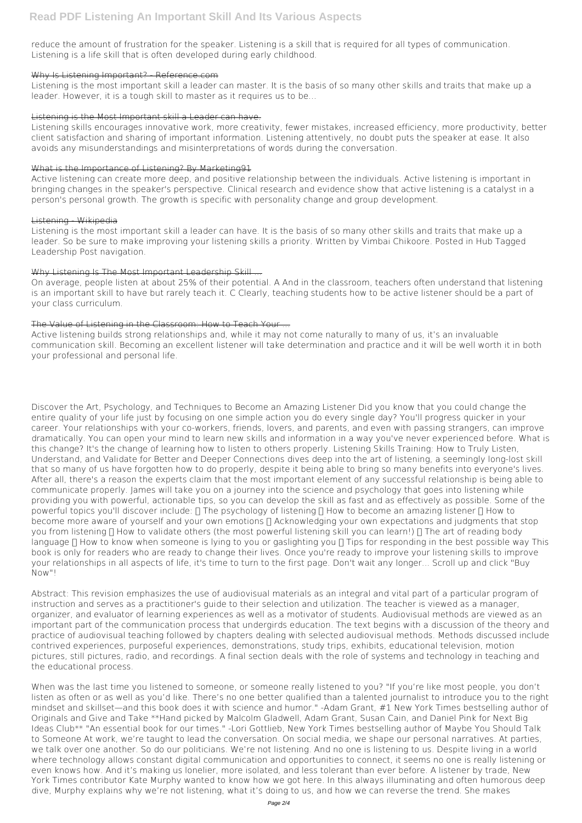reduce the amount of frustration for the speaker. Listening is a skill that is required for all types of communication. Listening is a life skill that is often developed during early childhood.

# Why Is Listening Important? - Reference.com

Listening is the most important skill a leader can master. It is the basis of so many other skills and traits that make up a leader. However, it is a tough skill to master as it requires us to be...

# Listening is the Most Important skill a Leader can have.

Listening skills encourages innovative work, more creativity, fewer mistakes, increased efficiency, more productivity, better client satisfaction and sharing of important information. Listening attentively, no doubt puts the speaker at ease. It also avoids any misunderstandings and misinterpretations of words during the conversation.

# What is the Importance of Listening? By Marketing91

Active listening can create more deep, and positive relationship between the individuals. Active listening is important in bringing changes in the speaker's perspective. Clinical research and evidence show that active listening is a catalyst in a person's personal growth. The growth is specific with personality change and group development.

# Listening - Wikipedia

Listening is the most important skill a leader can have. It is the basis of so many other skills and traits that make up a leader. So be sure to make improving your listening skills a priority. Written by Vimbai Chikoore. Posted in Hub Tagged Leadership Post navigation.

# Why Listening Is The Most Important Leadership Skill ...

On average, people listen at about 25% of their potential. A And in the classroom, teachers often understand that listening is an important skill to have but rarely teach it. C Clearly, teaching students how to be active listener should be a part of your class curriculum.

# The Value of Listening in the Classroom: How to Teach Your ...

Active listening builds strong relationships and, while it may not come naturally to many of us, it's an invaluable communication skill. Becoming an excellent listener will take determination and practice and it will be well worth it in both your professional and personal life.

Discover the Art, Psychology, and Techniques to Become an Amazing Listener Did you know that you could change the entire quality of your life just by focusing on one simple action you do every single day? You'll progress quicker in your career. Your relationships with your co-workers, friends, lovers, and parents, and even with passing strangers, can improve dramatically. You can open your mind to learn new skills and information in a way you've never experienced before. What is this change? It's the change of learning how to listen to others properly. Listening Skills Training: How to Truly Listen, Understand, and Validate for Better and Deeper Connections dives deep into the art of listening, a seemingly long-lost skill that so many of us have forgotten how to do properly, despite it being able to bring so many benefits into everyone's lives. After all, there's a reason the experts claim that the most important element of any successful relationship is being able to communicate properly. James will take you on a journey into the science and psychology that goes into listening while providing you with powerful, actionable tips, so you can develop the skill as fast and as effectively as possible. Some of the powerful topics you'll discover include:  $\Box$  The psychology of listening  $\Box$  How to become an amazing listener  $\Box$  How to become more aware of yourself and your own emotions  $\Box$  Acknowledging your own expectations and judgments that stop you from listening  $\Box$  How to validate others (the most powerful listening skill you can learn!)  $\Box$  The art of reading body language  $\Box$  How to know when someone is lying to you or gaslighting you  $\Box$  Tips for responding in the best possible way This book is only for readers who are ready to change their lives. Once you're ready to improve your listening skills to improve your relationships in all aspects of life, it's time to turn to the first page. Don't wait any longer... Scroll up and click "Buy Now"!

Abstract: This revision emphasizes the use of audiovisual materials as an integral and vital part of a particular program of instruction and serves as a practitioner's guide to their selection and utilization. The teacher is viewed as a manager, organizer, and evaluator of learning experiences as well as a motivator of students. Audiovisual methods are viewed as an important part of the communication process that undergirds education. The text begins with a discussion of the theory and practice of audiovisual teaching followed by chapters dealing with selected audiovisual methods. Methods discussed include contrived experiences, purposeful experiences, demonstrations, study trips, exhibits, educational television, motion pictures, still pictures, radio, and recordings. A final section deals with the role of systems and technology in teaching and the educational process.

When was the last time you listened to someone, or someone really listened to you? "If you're like most people, you don't listen as often or as well as you'd like. There's no one better qualified than a talented journalist to introduce you to the right mindset and skillset—and this book does it with science and humor." -Adam Grant, #1 New York Times bestselling author of Originals and Give and Take \*\*Hand picked by Malcolm Gladwell, Adam Grant, Susan Cain, and Daniel Pink for Next Big Ideas Club\*\* "An essential book for our times." -Lori Gottlieb, New York Times bestselling author of Maybe You Should Talk to Someone At work, we're taught to lead the conversation. On social media, we shape our personal narratives. At parties, we talk over one another. So do our politicians. We're not listening. And no one is listening to us. Despite living in a world where technology allows constant digital communication and opportunities to connect, it seems no one is really listening or even knows how. And it's making us lonelier, more isolated, and less tolerant than ever before. A listener by trade, New York Times contributor Kate Murphy wanted to know how we got here. In this always illuminating and often humorous deep dive, Murphy explains why we're not listening, what it's doing to us, and how we can reverse the trend. She makes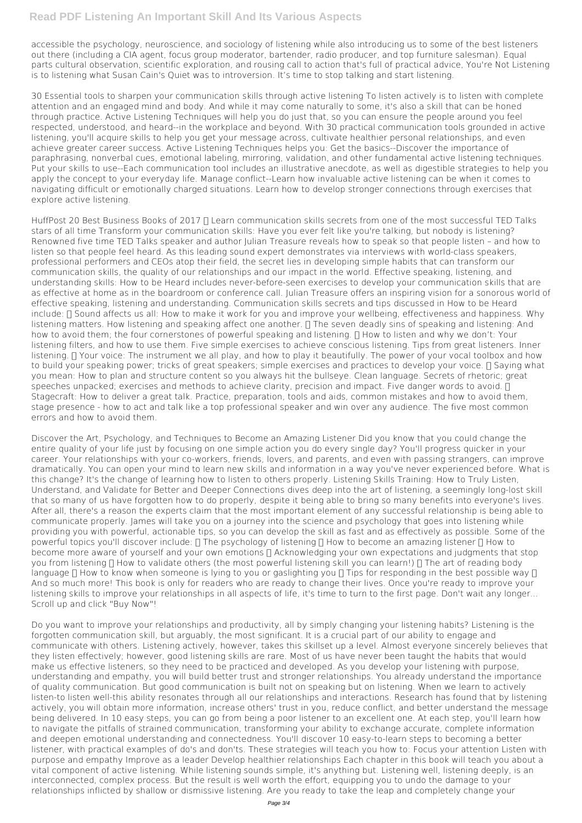# **Read PDF Listening An Important Skill And Its Various Aspects**

accessible the psychology, neuroscience, and sociology of listening while also introducing us to some of the best listeners out there (including a CIA agent, focus group moderator, bartender, radio producer, and top furniture salesman). Equal parts cultural observation, scientific exploration, and rousing call to action that's full of practical advice, You're Not Listening is to listening what Susan Cain's Quiet was to introversion. It's time to stop talking and start listening.

30 Essential tools to sharpen your communication skills through active listening To listen actively is to listen with complete attention and an engaged mind and body. And while it may come naturally to some, it's also a skill that can be honed through practice. Active Listening Techniques will help you do just that, so you can ensure the people around you feel respected, understood, and heard--in the workplace and beyond. With 30 practical communication tools grounded in active listening, you'll acquire skills to help you get your message across, cultivate healthier personal relationships, and even achieve greater career success. Active Listening Techniques helps you: Get the basics--Discover the importance of paraphrasing, nonverbal cues, emotional labeling, mirroring, validation, and other fundamental active listening techniques. Put your skills to use--Each communication tool includes an illustrative anecdote, as well as digestible strategies to help you apply the concept to your everyday life. Manage conflict--Learn how invaluable active listening can be when it comes to navigating difficult or emotionally charged situations. Learn how to develop stronger connections through exercises that explore active listening.

HuffPost 20 Best Business Books of 2017 ∏ Learn communication skills secrets from one of the most successful TED Talks stars of all time Transform your communication skills: Have you ever felt like you're talking, but nobody is listening? Renowned five time TED Talks speaker and author Julian Treasure reveals how to speak so that people listen – and how to listen so that people feel heard. As this leading sound expert demonstrates via interviews with world-class speakers, professional performers and CEOs atop their field, the secret lies in developing simple habits that can transform our communication skills, the quality of our relationships and our impact in the world. Effective speaking, listening, and understanding skills: How to be Heard includes never-before-seen exercises to develop your communication skills that are as effective at home as in the boardroom or conference call. Julian Treasure offers an inspiring vision for a sonorous world of effective speaking, listening and understanding. Communication skills secrets and tips discussed in How to be Heard include:  $\Pi$  Sound affects us all: How to make it work for you and improve your wellbeing, effectiveness and happiness. Why listening matters. How listening and speaking affect one another.  $\Box$  The seven deadly sins of speaking and listening: And how to avoid them; the four cornerstones of powerful speaking and listening.  $\Box$  How to listen and why we don't: Your listening filters, and how to use them. Five simple exercises to achieve conscious listening. Tips from great listeners. Inner listening.  $\Pi$  Your voice: The instrument we all play, and how to play it beautifully. The power of your vocal toolbox and how to build your speaking power; tricks of great speakers; simple exercises and practices to develop your voice.  $\Box$  Saying what you mean: How to plan and structure content so you always hit the bullseye. Clean language. Secrets of rhetoric; great speeches unpacked; exercises and methods to achieve clarity, precision and impact. Five danger words to avoid.  $\prod$ Stagecraft: How to deliver a great talk. Practice, preparation, tools and aids, common mistakes and how to avoid them, stage presence - how to act and talk like a top professional speaker and win over any audience. The five most common errors and how to avoid them.

Discover the Art, Psychology, and Techniques to Become an Amazing Listener Did you know that you could change the entire quality of your life just by focusing on one simple action you do every single day? You'll progress quicker in your career. Your relationships with your co-workers, friends, lovers, and parents, and even with passing strangers, can improve dramatically. You can open your mind to learn new skills and information in a way you've never experienced before. What is this change? It's the change of learning how to listen to others properly. Listening Skills Training: How to Truly Listen, Understand, and Validate for Better and Deeper Connections dives deep into the art of listening, a seemingly long-lost skill that so many of us have forgotten how to do properly, despite it being able to bring so many benefits into everyone's lives. After all, there's a reason the experts claim that the most important element of any successful relationship is being able to communicate properly. James will take you on a journey into the science and psychology that goes into listening while providing you with powerful, actionable tips, so you can develop the skill as fast and as effectively as possible. Some of the powerful topics you'll discover include: □ The psychology of listening □ How to become an amazing listener □ How to become more aware of yourself and your own emotions □ Acknowledging your own expectations and judgments that stop you from listening □ How to validate others (the most powerful listening skill you can learn!) □ The art of reading body language □ How to know when someone is lying to you or gaslighting you □ Tips for responding in the best possible way □ And so much more! This book is only for readers who are ready to change their lives. Once you're ready to improve your listening skills to improve your relationships in all aspects of life, it's time to turn to the first page. Don't wait any longer... Scroll up and click "Buy Now"!

Do you want to improve your relationships and productivity, all by simply changing your listening habits? Listening is the forgotten communication skill, but arguably, the most significant. It is a crucial part of our ability to engage and communicate with others. Listening actively, however, takes this skillset up a level. Almost everyone sincerely believes that they listen effectively; however, good listening skills are rare. Most of us have never been taught the habits that would make us effective listeners, so they need to be practiced and developed. As you develop your listening with purpose, understanding and empathy, you will build better trust and stronger relationships. You already understand the importance of quality communication. But good communication is built not on speaking but on listening. When we learn to actively listen-to listen well-this ability resonates through all our relationships and interactions. Research has found that by listening actively, you will obtain more information, increase others' trust in you, reduce conflict, and better understand the message being delivered. In 10 easy steps, you can go from being a poor listener to an excellent one. At each step, you'll learn how to navigate the pitfalls of strained communication, transforming your ability to exchange accurate, complete information and deepen emotional understanding and connectedness. You'll discover 10 easy-to-learn steps to becoming a better listener, with practical examples of do's and don'ts. These strategies will teach you how to: Focus your attention Listen with purpose and empathy Improve as a leader Develop healthier relationships Each chapter in this book will teach you about a vital component of active listening. While listening sounds simple, it's anything but. Listening well, listening deeply, is an interconnected, complex process. But the result is well worth the effort, equipping you to undo the damage to your relationships inflicted by shallow or dismissive listening. Are you ready to take the leap and completely change your